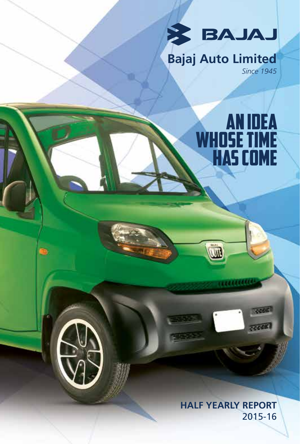

# **Bajaj Auto Limited** *Since 1945*

AN Idea

WHOSE TIME

HAS COME

7725

**HALF YEARLY REPORT** 2015-16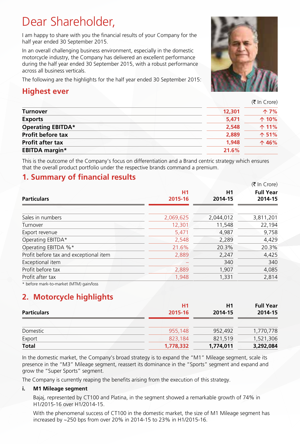# Dear Shareholder,

I am happy to share with you the financial results of your Company for the half year ended 30 September 2015.

In an overall challenging business environment, especially in the domestic motorcycle industry, the Company has delivered an excellent performance during the half year ended 30 September 2015, with a robust performance across all business verticals.

The following are the highlights for the half year ended 30 September 2015:

### **Highest ever**

(₹ In Crore)

|                          |        | $(1)$ III CIOIE) |
|--------------------------|--------|------------------|
| Turnover                 | 12,301 | ↑7%              |
| <b>Exports</b>           | 5.471  | $\uparrow$ 10%   |
| <b>Operating EBITDA*</b> | 2,548  | $\uparrow$ 11%   |
| <b>Profit before tax</b> | 2,889  | ↑ 51%            |
| <b>Profit after tax</b>  | 1.948  | $\uparrow$ 46%   |
| <b>EBITDA</b> margin*    | 21.6%  |                  |
|                          |        |                  |

This is the outcome of the Company's focus on differentiation and a Brand centric strategy which ensures that the overall product portfolio under the respective brands command a premium.

### **1. Summary of financial results**

|                                        |                | $(5 \text{ In Core})$ |                  |
|----------------------------------------|----------------|-----------------------|------------------|
|                                        | H <sub>1</sub> | H1                    | <b>Full Year</b> |
| <b>Particulars</b>                     | 2015-16        | 2014-15               | 2014-15          |
|                                        |                |                       |                  |
| Sales in numbers                       | 2,069,625      | 2,044,012             | 3,811,201        |
| Turnover                               | 12,301         | 11,548                | 22,194           |
| Export revenue                         | 5,471          | 4,987                 | 9,758            |
| Operating EBITDA*                      | 2,548          | 2,289                 | 4,429            |
| Operating EBITDA %*                    | 21.6%          | 20.3%                 | 20.3%            |
| Profit before tax and exceptional item | 2,889          | 2,247                 | 4,425            |
| Exceptional item                       |                | 340                   | 340              |
| Profit before tax                      | 2,889          | 1,907                 | 4,085            |
| Profit after tax                       | 1,948          | 1,331                 | 2,814            |
|                                        |                |                       |                  |

\* before mark-to-market (MTM) gain/loss

## **2. Motorcycle highlights**

| <b>Particulars</b> | <b>H1</b><br>2015-16 | H1<br>2014-15 | <b>Full Year</b><br>2014-15 |
|--------------------|----------------------|---------------|-----------------------------|
| Domestic           | 955,148              | 952.492       | 1,770,778                   |
| Export             | 823.184              | 821.519       | 1,521,306                   |
| <b>Total</b>       | 1,778,332            | 1,774,011     | 3,292,084                   |

In the domestic market, the Company's broad strategy is to expand the "M1" Mileage segment, scale its presence in the "M3" Mileage segment, reassert its dominance in the "Sports" segment and expand and grow the "Super Sports" segment.

The Company is currently reaping the benefits arising from the execution of this strategy.

### **i. M1 Mileage segment**

Bajaj, represented by CT100 and Platina, in the segment showed a remarkable growth of 74% in H1/2015-16 over H1/2014-15.

With the phenomenal success of CT100 in the domestic market, the size of M1 Mileage segment has increased by ~250 bps from over 20% in 2014-15 to 23% in H1/2015-16.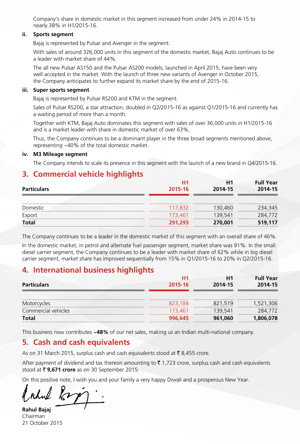Company's share in domestic market in this segment increased from under 24% in 2014-15 to nearly 38% in H1/2015-16.

#### **ii. Sports segment**

Bajaj is represented by Pulsar and Avenger in the segment.

With sales of around 326,000 units in this segment of the domestic market, Bajaj Auto continues to be a leader with market share of 44%.

The all new Pulsar AS150 and the Pulsar AS200 models, launched in April 2015, have been very well accepted in the market. With the launch of three new variants of Avenger in October 2015, the Company anticipates to further expand its market share by the end of 2015-16.

#### **iii. Super sports segment**

Bajaj is represented by Pulsar RS200 and KTM in the segment.

Sales of Pulsar RS200, a star attraction, doubled in Q2/2015-16 as against Q1/2015-16 and currently has a waiting period of more than a month.

Together with KTM, Bajaj Auto dominates this segment with sales of over 36,000 units in H1/2015-16 and is a market leader with share in domestic market of over 63%.

Thus, the Company continues to be a dominant player in the three broad segments mentioned above, representing ~40% of the total domestic market.

#### **iv. M3 Mileage segment**

The Company intends to scale its presence in this segment with the launch of a new brand in Q4/2015-16.

### **3. Commercial vehicle highlights**

| <b>Particulars</b> | H1<br>2015-16 | H1<br>2014-15 | <b>Full Year</b><br>2014-15 |
|--------------------|---------------|---------------|-----------------------------|
|                    |               |               |                             |
| Domestic           | 117,832       | 130,460       | 234,345                     |
| Export             | 173.461       | 139,541       | 284,772                     |
| <b>Total</b>       | 291,293       | 270,001       | 519,117                     |

The Company continues to be a leader in the domestic market of this segment with an overall share of 46%.

In the domestic market, in petrol and alternate fuel passenger segment, market share was 91%. In the small diesel carrier segment, the Company continues to be a leader with market share of 62% while in big diesel carrier segment, market share has improved sequentially from 15% in Q1/2015-16 to 20% in Q2/2015-16.

### **4. International business highlights**

|                     | H1      | H1      | <b>Full Year</b> |
|---------------------|---------|---------|------------------|
| <b>Particulars</b>  | 2015-16 | 2014-15 | 2014-15          |
| Motorcycles         | 823.184 | 821.519 | 1,521,306        |
| Commercial vehicles | 173.461 | 139,541 | 284,772          |
| <b>Total</b>        | 996,645 | 961,060 | 1,806,078        |

This business now contributes **~48%** of our net sales, making us an Indian multi-national company.

### **5. Cash and cash equivalents**

As on 31 March 2015, surplus cash and cash equivalents stood at  $\bar{\tau}$  8,455 crore.

After payment of dividend and tax thereon amounting to  $\bar{\tau}$  1,723 crore, surplus cash and cash equivalents stood at ₹ 9,671 crore as on 30 September 2015.

On this positive note, I wish you and your family a very happy Diwali and a prosperous New Year.

hul

**Rahul Bajaj** Chairman 21 October 2015